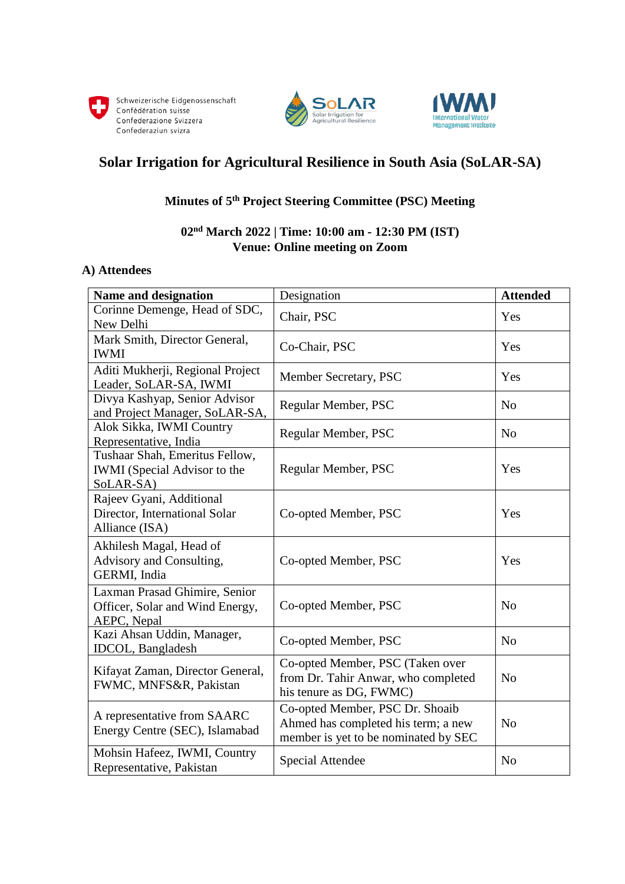





# **Solar Irrigation for Agricultural Resilience in South Asia (SoLAR-SA)**

## **Minutes of 5 th Project Steering Committee (PSC) Meeting**

# **02nd March 2022 | Time: 10:00 am - 12:30 PM (IST) Venue: Online meeting on Zoom**

#### **A) Attendees**

| <b>Name and designation</b>                                                        | Designation                                                                                                    | <b>Attended</b> |
|------------------------------------------------------------------------------------|----------------------------------------------------------------------------------------------------------------|-----------------|
| Corinne Demenge, Head of SDC,<br>New Delhi                                         | Chair, PSC                                                                                                     | Yes             |
| Mark Smith, Director General,<br><b>IWMI</b>                                       | Co-Chair, PSC                                                                                                  | Yes             |
| Aditi Mukherji, Regional Project<br>Leader, SoLAR-SA, IWMI                         | Member Secretary, PSC                                                                                          | Yes             |
| Divya Kashyap, Senior Advisor<br>and Project Manager, SoLAR-SA,                    | Regular Member, PSC                                                                                            | N <sub>o</sub>  |
| Alok Sikka, IWMI Country<br>Representative, India                                  | Regular Member, PSC                                                                                            | N <sub>o</sub>  |
| Tushaar Shah, Emeritus Fellow,<br><b>IWMI</b> (Special Advisor to the<br>SoLAR-SA) | Regular Member, PSC                                                                                            | Yes             |
| Rajeev Gyani, Additional<br>Director, International Solar<br>Alliance (ISA)        | Co-opted Member, PSC                                                                                           | Yes             |
| Akhilesh Magal, Head of<br>Advisory and Consulting,<br>GERMI, India                | Co-opted Member, PSC                                                                                           | Yes             |
| Laxman Prasad Ghimire, Senior<br>Officer, Solar and Wind Energy,<br>AEPC, Nepal    | Co-opted Member, PSC                                                                                           | N <sub>0</sub>  |
| Kazi Ahsan Uddin, Manager,<br><b>IDCOL</b> , Bangladesh                            | Co-opted Member, PSC                                                                                           | N <sub>o</sub>  |
| Kifayat Zaman, Director General,<br>FWMC, MNFS&R, Pakistan                         | Co-opted Member, PSC (Taken over<br>from Dr. Tahir Anwar, who completed<br>his tenure as DG, FWMC)             | N <sub>0</sub>  |
| A representative from SAARC<br>Energy Centre (SEC), Islamabad                      | Co-opted Member, PSC Dr. Shoaib<br>Ahmed has completed his term; a new<br>member is yet to be nominated by SEC | N <sub>o</sub>  |
| Mohsin Hafeez, IWMI, Country<br>Representative, Pakistan                           | <b>Special Attendee</b>                                                                                        | N <sub>o</sub>  |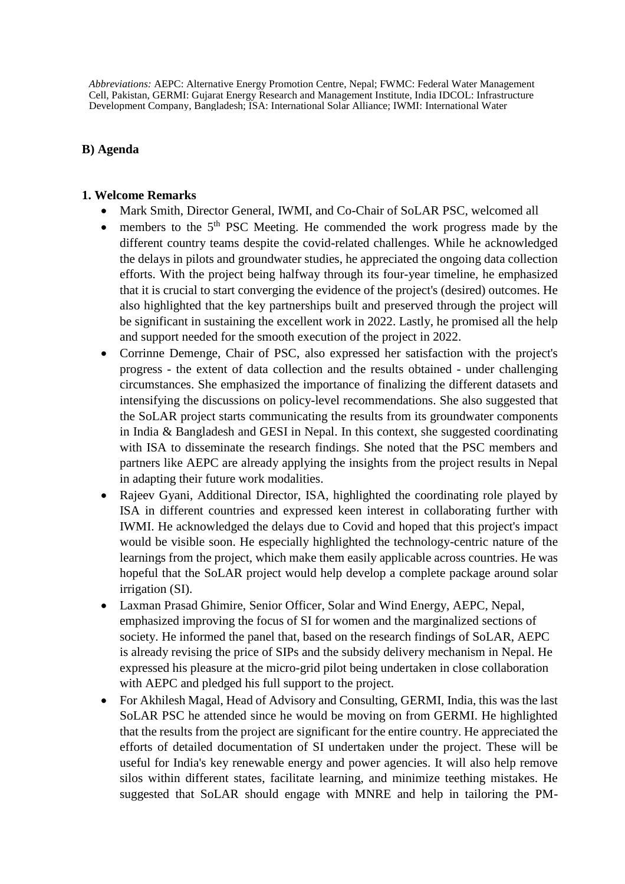*Abbreviations:* AEPC: Alternative Energy Promotion Centre, Nepal; FWMC: Federal Water Management Cell, Pakistan, GERMI: Gujarat Energy Research and Management Institute, India IDCOL: Infrastructure Development Company, Bangladesh; ISA: International Solar Alliance; IWMI: International Water

#### **B) Agenda**

#### **1. Welcome Remarks**

- Mark Smith, Director General, IWMI, and Co-Chair of SoLAR PSC, welcomed all
- $\bullet$  members to the 5<sup>th</sup> PSC Meeting. He commended the work progress made by the different country teams despite the covid-related challenges. While he acknowledged the delays in pilots and groundwater studies, he appreciated the ongoing data collection efforts. With the project being halfway through its four-year timeline, he emphasized that it is crucial to start converging the evidence of the project's (desired) outcomes. He also highlighted that the key partnerships built and preserved through the project will be significant in sustaining the excellent work in 2022. Lastly, he promised all the help and support needed for the smooth execution of the project in 2022.
- Corrinne Demenge, Chair of PSC, also expressed her satisfaction with the project's progress - the extent of data collection and the results obtained - under challenging circumstances. She emphasized the importance of finalizing the different datasets and intensifying the discussions on policy-level recommendations. She also suggested that the SoLAR project starts communicating the results from its groundwater components in India & Bangladesh and GESI in Nepal. In this context, she suggested coordinating with ISA to disseminate the research findings. She noted that the PSC members and partners like AEPC are already applying the insights from the project results in Nepal in adapting their future work modalities.
- Rajeev Gyani, Additional Director, ISA, highlighted the coordinating role played by ISA in different countries and expressed keen interest in collaborating further with IWMI. He acknowledged the delays due to Covid and hoped that this project's impact would be visible soon. He especially highlighted the technology-centric nature of the learnings from the project, which make them easily applicable across countries. He was hopeful that the SoLAR project would help develop a complete package around solar irrigation (SI).
- Laxman Prasad Ghimire, Senior Officer, Solar and Wind Energy, AEPC, Nepal, emphasized improving the focus of SI for women and the marginalized sections of society. He informed the panel that, based on the research findings of SoLAR, AEPC is already revising the price of SIPs and the subsidy delivery mechanism in Nepal. He expressed his pleasure at the micro-grid pilot being undertaken in close collaboration with AEPC and pledged his full support to the project.
- For Akhilesh Magal, Head of Advisory and Consulting, GERMI, India, this was the last SoLAR PSC he attended since he would be moving on from GERMI. He highlighted that the results from the project are significant for the entire country. He appreciated the efforts of detailed documentation of SI undertaken under the project. These will be useful for India's key renewable energy and power agencies. It will also help remove silos within different states, facilitate learning, and minimize teething mistakes. He suggested that SoLAR should engage with MNRE and help in tailoring the PM-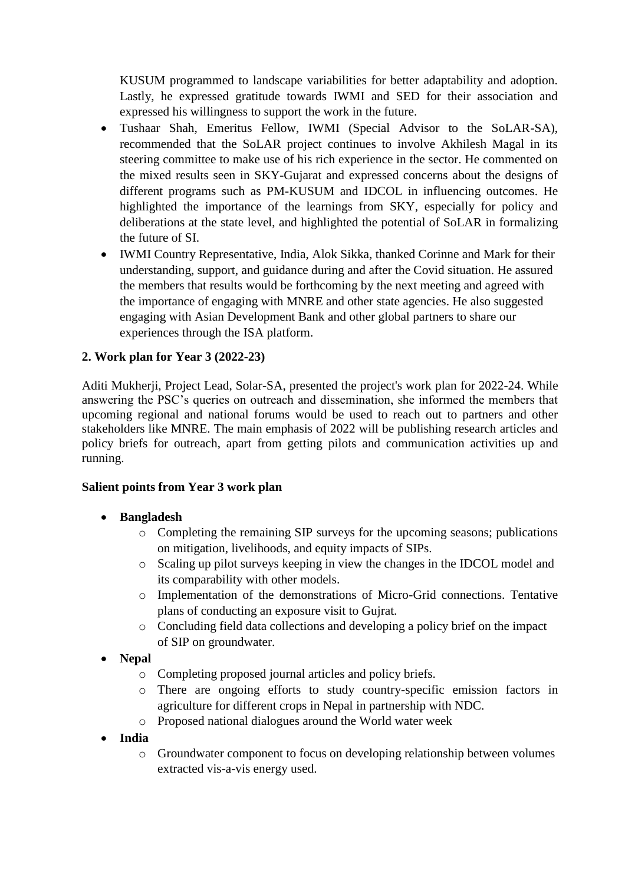KUSUM programmed to landscape variabilities for better adaptability and adoption. Lastly, he expressed gratitude towards IWMI and SED for their association and expressed his willingness to support the work in the future.

- Tushaar Shah, Emeritus Fellow, IWMI (Special Advisor to the SoLAR-SA), recommended that the SoLAR project continues to involve Akhilesh Magal in its steering committee to make use of his rich experience in the sector. He commented on the mixed results seen in SKY-Gujarat and expressed concerns about the designs of different programs such as PM-KUSUM and IDCOL in influencing outcomes. He highlighted the importance of the learnings from SKY, especially for policy and deliberations at the state level, and highlighted the potential of SoLAR in formalizing the future of SI.
- IWMI Country Representative, India, Alok Sikka, thanked Corinne and Mark for their understanding, support, and guidance during and after the Covid situation. He assured the members that results would be forthcoming by the next meeting and agreed with the importance of engaging with MNRE and other state agencies. He also suggested engaging with Asian Development Bank and other global partners to share our experiences through the ISA platform.

### **2. Work plan for Year 3 (2022-23)**

Aditi Mukherji, Project Lead, Solar-SA, presented the project's work plan for 2022-24. While answering the PSC's queries on outreach and dissemination, she informed the members that upcoming regional and national forums would be used to reach out to partners and other stakeholders like MNRE. The main emphasis of 2022 will be publishing research articles and policy briefs for outreach, apart from getting pilots and communication activities up and running.

#### **Salient points from Year 3 work plan**

#### **Bangladesh**

- o Completing the remaining SIP surveys for the upcoming seasons; publications on mitigation, livelihoods, and equity impacts of SIPs.
- o Scaling up pilot surveys keeping in view the changes in the IDCOL model and its comparability with other models.
- o Implementation of the demonstrations of Micro-Grid connections. Tentative plans of conducting an exposure visit to Gujrat.
- o Concluding field data collections and developing a policy brief on the impact of SIP on groundwater.

# **Nepal**

- o Completing proposed journal articles and policy briefs.
- o There are ongoing efforts to study country-specific emission factors in agriculture for different crops in Nepal in partnership with NDC.
- o Proposed national dialogues around the World water week

# **India**

o Groundwater component to focus on developing relationship between volumes extracted vis-a-vis energy used.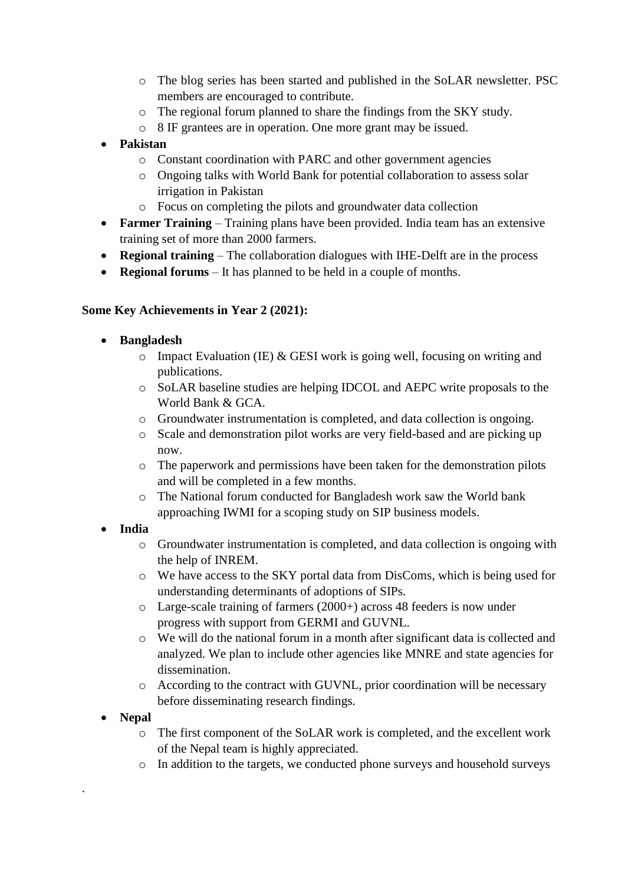- o The blog series has been started and published in the SoLAR newsletter. PSC members are encouraged to contribute.
- o The regional forum planned to share the findings from the SKY study.
- o 8 IF grantees are in operation. One more grant may be issued.
- **Pakistan**
	- o Constant coordination with PARC and other government agencies
	- o Ongoing talks with World Bank for potential collaboration to assess solar irrigation in Pakistan
	- o Focus on completing the pilots and groundwater data collection
- **Farmer Training** Training plans have been provided. India team has an extensive training set of more than 2000 farmers.
- **Regional training** The collaboration dialogues with IHE-Delft are in the process
- **Regional forums** It has planned to be held in a couple of months.

# **Some Key Achievements in Year 2 (2021):**

- **Bangladesh** 
	- $\circ$  Impact Evaluation (IE) & GESI work is going well, focusing on writing and publications.
	- o SoLAR baseline studies are helping IDCOL and AEPC write proposals to the World Bank & GCA.
	- o Groundwater instrumentation is completed, and data collection is ongoing.
	- o Scale and demonstration pilot works are very field-based and are picking up now.
	- $\circ$  The paperwork and permissions have been taken for the demonstration pilots and will be completed in a few months.
	- o The National forum conducted for Bangladesh work saw the World bank approaching IWMI for a scoping study on SIP business models.

# **India**

- o Groundwater instrumentation is completed, and data collection is ongoing with the help of INREM.
- o We have access to the SKY portal data from DisComs, which is being used for understanding determinants of adoptions of SIPs.
- o Large-scale training of farmers (2000+) across 48 feeders is now under progress with support from GERMI and GUVNL.
- o We will do the national forum in a month after significant data is collected and analyzed. We plan to include other agencies like MNRE and state agencies for dissemination.
- o According to the contract with GUVNL, prior coordination will be necessary before disseminating research findings.
- **Nepal**

.

- o The first component of the SoLAR work is completed, and the excellent work of the Nepal team is highly appreciated.
- o In addition to the targets, we conducted phone surveys and household surveys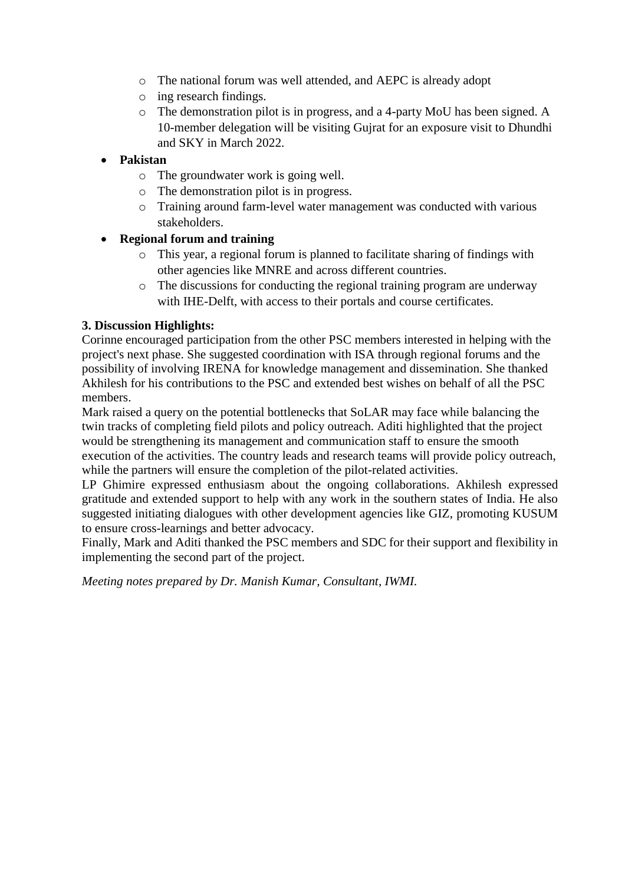- o The national forum was well attended, and AEPC is already adopt
- o ing research findings.
- o The demonstration pilot is in progress, and a 4-party MoU has been signed. A 10-member delegation will be visiting Gujrat for an exposure visit to Dhundhi and SKY in March 2022.

# **Pakistan**

- o The groundwater work is going well.
- o The demonstration pilot is in progress.
- o Training around farm-level water management was conducted with various stakeholders.

### **Regional forum and training**

- o This year, a regional forum is planned to facilitate sharing of findings with other agencies like MNRE and across different countries.
- o The discussions for conducting the regional training program are underway with IHE-Delft, with access to their portals and course certificates.

### **3. Discussion Highlights:**

Corinne encouraged participation from the other PSC members interested in helping with the project's next phase. She suggested coordination with ISA through regional forums and the possibility of involving IRENA for knowledge management and dissemination. She thanked Akhilesh for his contributions to the PSC and extended best wishes on behalf of all the PSC members.

Mark raised a query on the potential bottlenecks that SoLAR may face while balancing the twin tracks of completing field pilots and policy outreach. Aditi highlighted that the project would be strengthening its management and communication staff to ensure the smooth execution of the activities. The country leads and research teams will provide policy outreach, while the partners will ensure the completion of the pilot-related activities.

LP Ghimire expressed enthusiasm about the ongoing collaborations. Akhilesh expressed gratitude and extended support to help with any work in the southern states of India. He also suggested initiating dialogues with other development agencies like GIZ, promoting KUSUM to ensure cross-learnings and better advocacy.

Finally, Mark and Aditi thanked the PSC members and SDC for their support and flexibility in implementing the second part of the project.

*Meeting notes prepared by Dr. Manish Kumar, Consultant, IWMI.*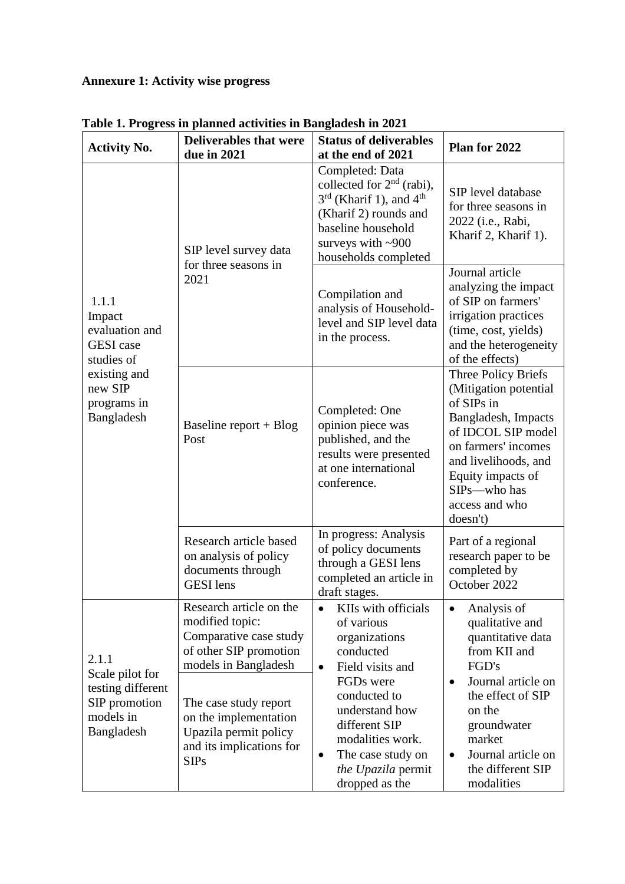# **Annexure 1: Activity wise progress**

| <b>Activity No.</b>                                                                                                         | <b>Deliverables that were</b><br>due in 2021                                                                                                                                                                                                 | <b>Status of deliverables</b><br>at the end of 2021                                                                                                                                                                                                                         | Plan for 2022                                                                                                                                                                                                                                              |  |  |
|-----------------------------------------------------------------------------------------------------------------------------|----------------------------------------------------------------------------------------------------------------------------------------------------------------------------------------------------------------------------------------------|-----------------------------------------------------------------------------------------------------------------------------------------------------------------------------------------------------------------------------------------------------------------------------|------------------------------------------------------------------------------------------------------------------------------------------------------------------------------------------------------------------------------------------------------------|--|--|
|                                                                                                                             | SIP level survey data<br>for three seasons in                                                                                                                                                                                                | Completed: Data<br>collected for $2nd$ (rabi),<br>$3rd$ (Kharif 1), and 4 <sup>th</sup><br>(Kharif 2) rounds and<br>baseline household<br>surveys with $~100$<br>households completed                                                                                       | SIP level database<br>for three seasons in<br>2022 (i.e., Rabi,<br>Kharif 2, Kharif 1).                                                                                                                                                                    |  |  |
| 1.1.1<br>Impact<br>evaluation and<br><b>GESI</b> case<br>studies of<br>existing and<br>new SIP<br>programs in<br>Bangladesh | 2021                                                                                                                                                                                                                                         | Compilation and<br>analysis of Household-<br>level and SIP level data<br>in the process.                                                                                                                                                                                    | Journal article<br>analyzing the impact<br>of SIP on farmers'<br>irrigation practices<br>(time, cost, yields)<br>and the heterogeneity<br>of the effects)                                                                                                  |  |  |
|                                                                                                                             | Baseline report + $Blog$<br>Post                                                                                                                                                                                                             | Completed: One<br>opinion piece was<br>published, and the<br>results were presented<br>at one international<br>conference.                                                                                                                                                  | Three Policy Briefs<br>(Mitigation potential<br>of SIPs in<br>Bangladesh, Impacts<br>of IDCOL SIP model<br>on farmers' incomes<br>and livelihoods, and<br>Equity impacts of<br>SIP <sub>s</sub> —who has<br>access and who<br>doesn't)                     |  |  |
|                                                                                                                             | Research article based<br>on analysis of policy<br>documents through<br><b>GESI</b> lens                                                                                                                                                     | In progress: Analysis<br>of policy documents<br>through a GESI lens<br>completed an article in<br>draft stages.                                                                                                                                                             | Part of a regional<br>research paper to be<br>completed by<br>October 2022                                                                                                                                                                                 |  |  |
| 2.1.1<br>Scale pilot for<br>testing different<br>SIP promotion<br>models in<br>Bangladesh                                   | Research article on the<br>modified topic:<br>Comparative case study<br>of other SIP promotion<br>models in Bangladesh<br>The case study report<br>on the implementation<br>Upazila permit policy<br>and its implications for<br><b>SIPs</b> | KIIs with officials<br>$\bullet$<br>of various<br>organizations<br>conducted<br>Field visits and<br>$\bullet$<br>FGDs were<br>conducted to<br>understand how<br>different SIP<br>modalities work.<br>The case study on<br>$\bullet$<br>the Upazila permit<br>dropped as the | Analysis of<br>$\bullet$<br>qualitative and<br>quantitative data<br>from KII and<br>FGD's<br>Journal article on<br>$\bullet$<br>the effect of SIP<br>on the<br>groundwater<br>market<br>Journal article on<br>$\bullet$<br>the different SIP<br>modalities |  |  |

**Table 1. Progress in planned activities in Bangladesh in 2021**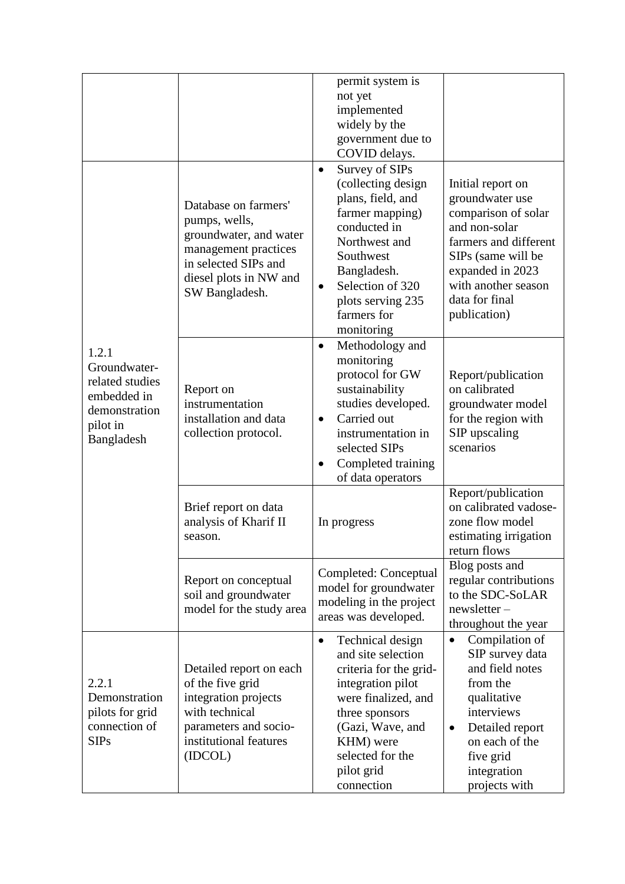|                                                                                                    |                                                                                                                                                             | permit system is<br>not yet<br>implemented<br>widely by the<br>government due to<br>COVID delays.                                                                                                                            |                                                                                                                                                                                                          |
|----------------------------------------------------------------------------------------------------|-------------------------------------------------------------------------------------------------------------------------------------------------------------|------------------------------------------------------------------------------------------------------------------------------------------------------------------------------------------------------------------------------|----------------------------------------------------------------------------------------------------------------------------------------------------------------------------------------------------------|
|                                                                                                    | Database on farmers'<br>pumps, wells,<br>groundwater, and water<br>management practices<br>in selected SIPs and<br>diesel plots in NW and<br>SW Bangladesh. | Survey of SIPs<br>$\bullet$<br>(collecting design<br>plans, field, and<br>farmer mapping)<br>conducted in<br>Northwest and<br>Southwest<br>Bangladesh.<br>Selection of 320<br>plots serving 235<br>farmers for<br>monitoring | Initial report on<br>groundwater use<br>comparison of solar<br>and non-solar<br>farmers and different<br>SIPs (same will be<br>expanded in 2023<br>with another season<br>data for final<br>publication) |
| 1.2.1<br>Groundwater-<br>related studies<br>embedded in<br>demonstration<br>pilot in<br>Bangladesh | Report on<br>instrumentation<br>installation and data<br>collection protocol.                                                                               | Methodology and<br>$\bullet$<br>monitoring<br>protocol for GW<br>sustainability<br>studies developed.<br>Carried out<br>$\bullet$<br>instrumentation in<br>selected SIPs<br>Completed training<br>of data operators          | Report/publication<br>on calibrated<br>groundwater model<br>for the region with<br>SIP upscaling<br>scenarios                                                                                            |
|                                                                                                    | Brief report on data<br>analysis of Kharif II<br>season.                                                                                                    | In progress                                                                                                                                                                                                                  | Report/publication<br>on calibrated vadose-<br>zone flow model<br>estimating irrigation<br>return flows                                                                                                  |
|                                                                                                    | Report on conceptual<br>soil and groundwater<br>model for the study area                                                                                    | Completed: Conceptual<br>model for groundwater<br>modeling in the project<br>areas was developed.                                                                                                                            | Blog posts and<br>regular contributions<br>to the SDC-SoLAR<br>$newsletter-$<br>throughout the year                                                                                                      |
| 2.2.1<br>Demonstration<br>pilots for grid<br>connection of<br><b>SIPs</b>                          | Detailed report on each<br>of the five grid<br>integration projects<br>with technical<br>parameters and socio-<br>institutional features<br>(IDCOL)         | Technical design<br>$\bullet$<br>and site selection<br>criteria for the grid-<br>integration pilot<br>were finalized, and<br>three sponsors<br>(Gazi, Wave, and<br>KHM) were<br>selected for the<br>pilot grid<br>connection | Compilation of<br>٠<br>SIP survey data<br>and field notes<br>from the<br>qualitative<br>interviews<br>Detailed report<br>٠<br>on each of the<br>five grid<br>integration<br>projects with                |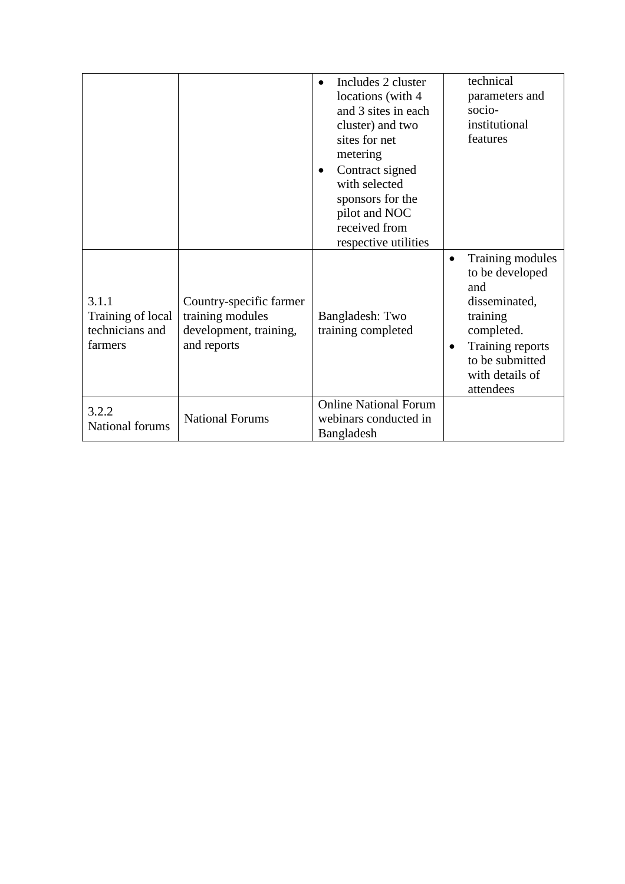|                                                          |                                                                                      | Includes 2 cluster<br>$\bullet$<br>locations (with 4<br>and 3 sites in each<br>cluster) and two<br>sites for net<br>metering<br>Contract signed<br>٠<br>with selected<br>sponsors for the<br>pilot and NOC<br>received from<br>respective utilities | technical<br>parameters and<br>socio-<br>institutional<br>features                                                                                                     |
|----------------------------------------------------------|--------------------------------------------------------------------------------------|-----------------------------------------------------------------------------------------------------------------------------------------------------------------------------------------------------------------------------------------------------|------------------------------------------------------------------------------------------------------------------------------------------------------------------------|
| 3.1.1<br>Training of local<br>technicians and<br>farmers | Country-specific farmer<br>training modules<br>development, training,<br>and reports | Bangladesh: Two<br>training completed                                                                                                                                                                                                               | Training modules<br>٠<br>to be developed<br>and<br>disseminated,<br>training<br>completed.<br>Training reports<br>٠<br>to be submitted<br>with details of<br>attendees |
| 3.2.2<br>National forums                                 | <b>National Forums</b>                                                               | <b>Online National Forum</b><br>webinars conducted in<br>Bangladesh                                                                                                                                                                                 |                                                                                                                                                                        |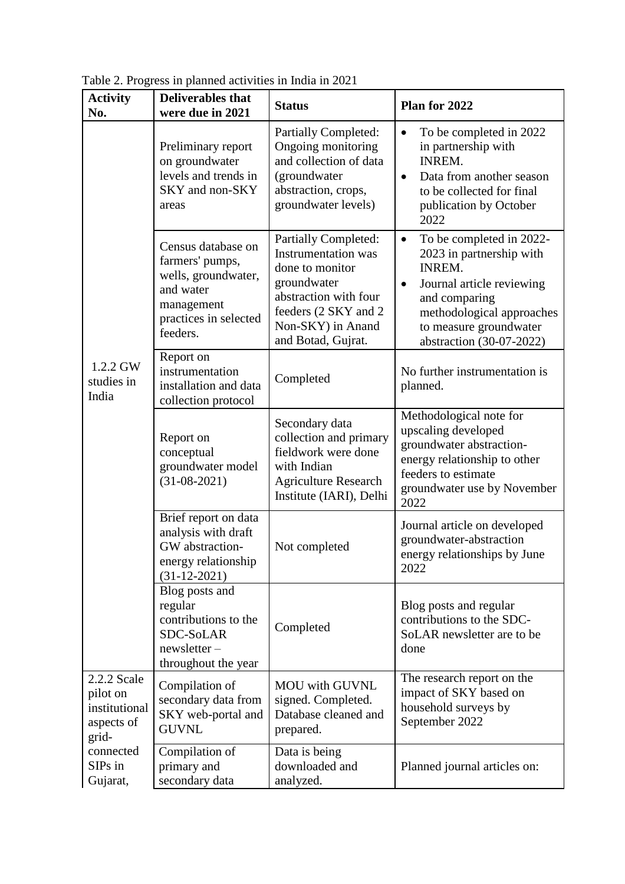| <b>Activity</b><br>No.                                          | <b>Deliverables that</b><br>were due in 2021                                                                                 | <b>Status</b>                                                                                                                                                                           | Plan for 2022                                                                                                                                                                                                                    |
|-----------------------------------------------------------------|------------------------------------------------------------------------------------------------------------------------------|-----------------------------------------------------------------------------------------------------------------------------------------------------------------------------------------|----------------------------------------------------------------------------------------------------------------------------------------------------------------------------------------------------------------------------------|
|                                                                 | Preliminary report<br>on groundwater<br>levels and trends in<br>SKY and non-SKY<br>areas                                     | <b>Partially Completed:</b><br>Ongoing monitoring<br>and collection of data<br>(groundwater<br>abstraction, crops,<br>groundwater levels)                                               | To be completed in 2022<br>in partnership with<br><b>INREM.</b><br>Data from another season<br>$\bullet$<br>to be collected for final<br>publication by October<br>2022                                                          |
|                                                                 | Census database on<br>farmers' pumps,<br>wells, groundwater,<br>and water<br>management<br>practices in selected<br>feeders. | <b>Partially Completed:</b><br><b>Instrumentation</b> was<br>done to monitor<br>groundwater<br>abstraction with four<br>feeders (2 SKY and 2<br>Non-SKY) in Anand<br>and Botad, Gujrat. | To be completed in 2022-<br>$\bullet$<br>2023 in partnership with<br><b>INREM.</b><br>Journal article reviewing<br>$\bullet$<br>and comparing<br>methodological approaches<br>to measure groundwater<br>abstraction (30-07-2022) |
| 1.2.2 GW<br>studies in<br>India                                 | Report on<br>instrumentation<br>installation and data<br>collection protocol                                                 | Completed                                                                                                                                                                               | No further instrumentation is<br>planned.                                                                                                                                                                                        |
|                                                                 | Report on<br>conceptual<br>groundwater model<br>$(31-08-2021)$                                                               | Secondary data<br>collection and primary<br>fieldwork were done<br>with Indian<br><b>Agriculture Research</b><br>Institute (IARI), Delhi                                                | Methodological note for<br>upscaling developed<br>groundwater abstraction-<br>energy relationship to other<br>feeders to estimate<br>groundwater use by November<br>2022                                                         |
|                                                                 | Brief report on data<br>analysis with draft<br>GW abstraction-<br>energy relationship<br>$(31-12-2021)$                      | Not completed                                                                                                                                                                           | Journal article on developed<br>groundwater-abstraction<br>energy relationships by June<br>2022                                                                                                                                  |
|                                                                 | Blog posts and<br>regular<br>contributions to the<br>SDC-SoLAR<br>$newsletter -$<br>throughout the year                      | Completed                                                                                                                                                                               | Blog posts and regular<br>contributions to the SDC-<br>SoLAR newsletter are to be<br>done                                                                                                                                        |
| 2.2.2 Scale<br>pilot on<br>institutional<br>aspects of<br>grid- | Compilation of<br>secondary data from<br>SKY web-portal and<br><b>GUVNL</b>                                                  | <b>MOU</b> with GUVNL<br>signed. Completed.<br>Database cleaned and<br>prepared.                                                                                                        | The research report on the<br>impact of SKY based on<br>household surveys by<br>September 2022                                                                                                                                   |
| connected<br>SIPs in<br>Gujarat,                                | Compilation of<br>primary and<br>secondary data                                                                              | Data is being<br>downloaded and<br>analyzed.                                                                                                                                            | Planned journal articles on:                                                                                                                                                                                                     |

Table 2. Progress in planned activities in India in 2021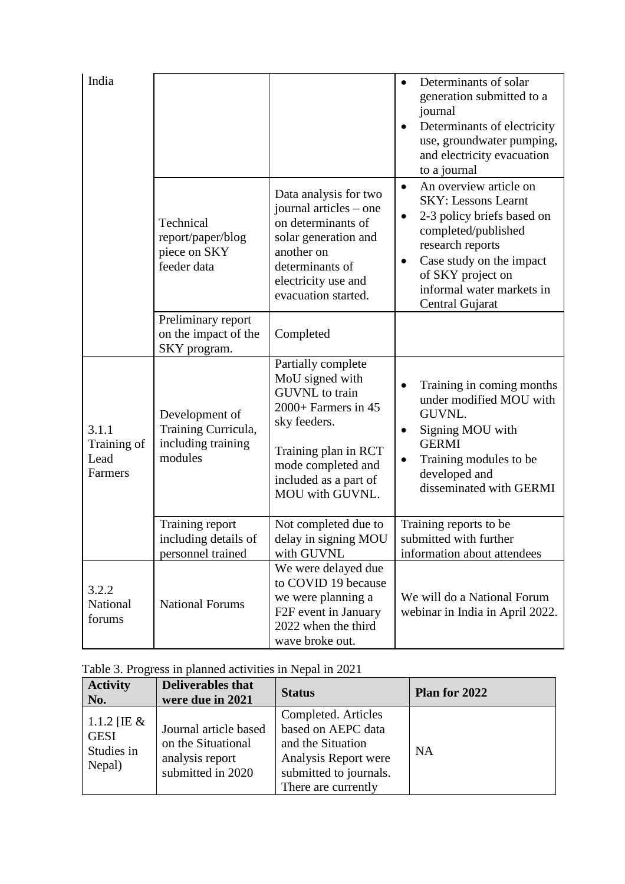| India                                   |                                                                        |                                                                                                                                                                                                 | Determinants of solar<br>generation submitted to a<br>journal<br>Determinants of electricity<br>use, groundwater pumping,<br>and electricity evacuation<br>to a journal                                                                                               |
|-----------------------------------------|------------------------------------------------------------------------|-------------------------------------------------------------------------------------------------------------------------------------------------------------------------------------------------|-----------------------------------------------------------------------------------------------------------------------------------------------------------------------------------------------------------------------------------------------------------------------|
|                                         | Technical<br>report/paper/blog<br>piece on SKY<br>feeder data          | Data analysis for two<br>journal articles – one<br>on determinants of<br>solar generation and<br>another on<br>determinants of<br>electricity use and<br>evacuation started.                    | An overview article on<br>$\bullet$<br><b>SKY: Lessons Learnt</b><br>2-3 policy briefs based on<br>$\bullet$<br>completed/published<br>research reports<br>Case study on the impact<br>$\bullet$<br>of SKY project on<br>informal water markets in<br>Central Gujarat |
|                                         | Preliminary report<br>on the impact of the<br>SKY program.             | Completed                                                                                                                                                                                       |                                                                                                                                                                                                                                                                       |
| 3.1.1<br>Training of<br>Lead<br>Farmers | Development of<br>Training Curricula,<br>including training<br>modules | Partially complete<br>MoU signed with<br><b>GUVNL</b> to train<br>2000+ Farmers in 45<br>sky feeders.<br>Training plan in RCT<br>mode completed and<br>included as a part of<br>MOU with GUVNL. | Training in coming months<br>under modified MOU with<br>GUVNL.<br>Signing MOU with<br>$\bullet$<br><b>GERMI</b><br>Training modules to be<br>$\bullet$<br>developed and<br>disseminated with GERMI                                                                    |
|                                         | Training report<br>including details of<br>personnel trained           | Not completed due to<br>delay in signing MOU<br>with GUVNL                                                                                                                                      | Training reports to be<br>submitted with further<br>information about attendees                                                                                                                                                                                       |
| 3.2.2<br>National<br>forums             | <b>National Forums</b>                                                 | We were delayed due<br>to COVID 19 because<br>we were planning a<br>F2F event in January<br>2022 when the third<br>wave broke out.                                                              | We will do a National Forum<br>webinar in India in April 2022.                                                                                                                                                                                                        |

| Table 3. Progress in planned activities in Nepal in 2021 |  |  |  |  |
|----------------------------------------------------------|--|--|--|--|
|                                                          |  |  |  |  |

| <b>Activity</b><br>No.                               | <b>Deliverables that</b><br>were due in 2021                                        | <b>Status</b>                                                                                                                           | Plan for 2022 |
|------------------------------------------------------|-------------------------------------------------------------------------------------|-----------------------------------------------------------------------------------------------------------------------------------------|---------------|
| 1.1.2 [IE $&$<br><b>GESI</b><br>Studies in<br>Nepal) | Journal article based<br>on the Situational<br>analysis report<br>submitted in 2020 | Completed. Articles<br>based on AEPC data<br>and the Situation<br>Analysis Report were<br>submitted to journals.<br>There are currently | <b>NA</b>     |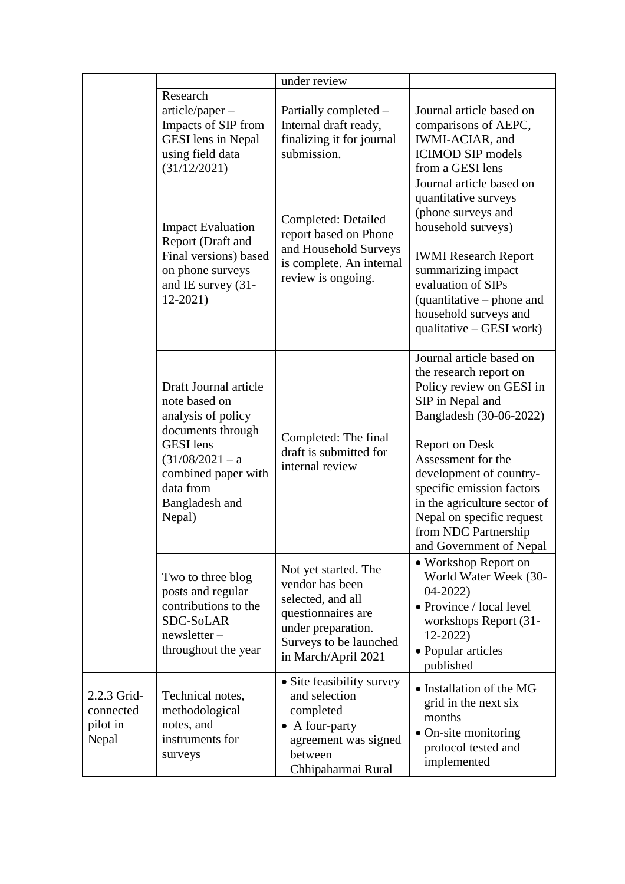|                                               |                                                                                                                                                                                            | under review                                                                                                                                              |                                                                                                                                                                                                                                                                                                                                                      |
|-----------------------------------------------|--------------------------------------------------------------------------------------------------------------------------------------------------------------------------------------------|-----------------------------------------------------------------------------------------------------------------------------------------------------------|------------------------------------------------------------------------------------------------------------------------------------------------------------------------------------------------------------------------------------------------------------------------------------------------------------------------------------------------------|
|                                               | Research<br>$article/paper -$<br>Impacts of SIP from<br><b>GESI</b> lens in Nepal<br>using field data<br>(31/12/2021)                                                                      | Partially completed –<br>Internal draft ready,<br>finalizing it for journal<br>submission.                                                                | Journal article based on<br>comparisons of AEPC,<br>IWMI-ACIAR, and<br><b>ICIMOD SIP</b> models<br>from a GESI lens                                                                                                                                                                                                                                  |
|                                               | <b>Impact Evaluation</b><br>Report (Draft and<br>Final versions) based<br>on phone surveys<br>and IE survey (31-<br>$12-2021$                                                              | Completed: Detailed<br>report based on Phone<br>and Household Surveys<br>is complete. An internal<br>review is ongoing.                                   | Journal article based on<br>quantitative surveys<br>(phone surveys and<br>household surveys)<br><b>IWMI</b> Research Report<br>summarizing impact<br>evaluation of SIPs<br>(quantitative – phone and<br>household surveys and<br>qualitative – GESI work)                                                                                            |
|                                               | Draft Journal article<br>note based on<br>analysis of policy<br>documents through<br><b>GESI</b> lens<br>$(31/08/2021 - a$<br>combined paper with<br>data from<br>Bangladesh and<br>Nepal) | Completed: The final<br>draft is submitted for<br>internal review                                                                                         | Journal article based on<br>the research report on<br>Policy review on GESI in<br>SIP in Nepal and<br>Bangladesh (30-06-2022)<br><b>Report on Desk</b><br>Assessment for the<br>development of country-<br>specific emission factors<br>in the agriculture sector of<br>Nepal on specific request<br>from NDC Partnership<br>and Government of Nepal |
|                                               | Two to three blog<br>posts and regular<br>contributions to the<br>SDC-SoLAR<br>newsletter-<br>throughout the year                                                                          | Not yet started. The<br>vendor has been<br>selected, and all<br>questionnaires are<br>under preparation.<br>Surveys to be launched<br>in March/April 2021 | • Workshop Report on<br>World Water Week (30-<br>$04 - 2022$<br>• Province / local level<br>workshops Report (31-<br>$12-2022$<br>• Popular articles<br>published                                                                                                                                                                                    |
| 2.2.3 Grid-<br>connected<br>pilot in<br>Nepal | Technical notes,<br>methodological<br>notes, and<br>instruments for<br>surveys                                                                                                             | • Site feasibility survey<br>and selection<br>completed<br>A four-party<br>agreement was signed<br>between<br>Chhipaharmai Rural                          | • Installation of the MG<br>grid in the next six<br>months<br>• On-site monitoring<br>protocol tested and<br>implemented                                                                                                                                                                                                                             |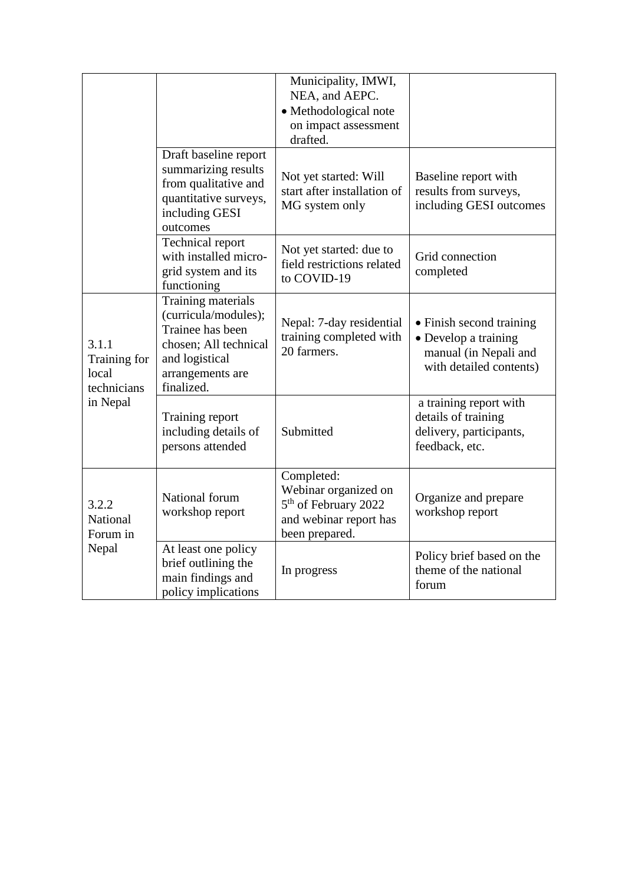|                                               |                                                                                                                                             | Municipality, IMWI,<br>NEA, and AEPC.<br>· Methodological note<br>on impact assessment<br>drafted.                 |                                                                                                      |
|-----------------------------------------------|---------------------------------------------------------------------------------------------------------------------------------------------|--------------------------------------------------------------------------------------------------------------------|------------------------------------------------------------------------------------------------------|
|                                               | Draft baseline report<br>summarizing results<br>from qualitative and<br>quantitative surveys,<br>including GESI<br>outcomes                 | Not yet started: Will<br>start after installation of<br>MG system only                                             | Baseline report with<br>results from surveys,<br>including GESI outcomes                             |
|                                               | <b>Technical report</b><br>with installed micro-<br>grid system and its<br>functioning                                                      | Not yet started: due to<br>field restrictions related<br>to COVID-19                                               | Grid connection<br>completed                                                                         |
| 3.1.1<br>Training for<br>local<br>technicians | Training materials<br>(curricula/modules);<br>Trainee has been<br>chosen; All technical<br>and logistical<br>arrangements are<br>finalized. | Nepal: 7-day residential<br>training completed with<br>20 farmers.                                                 | • Finish second training<br>• Develop a training<br>manual (in Nepali and<br>with detailed contents) |
| in Nepal                                      | Training report<br>including details of<br>persons attended                                                                                 | Submitted                                                                                                          | a training report with<br>details of training<br>delivery, participants,<br>feedback, etc.           |
| 3.2.2<br>National<br>Forum in                 | National forum<br>workshop report                                                                                                           | Completed:<br>Webinar organized on<br>5 <sup>th</sup> of February 2022<br>and webinar report has<br>been prepared. | Organize and prepare<br>workshop report                                                              |
| Nepal                                         | At least one policy<br>brief outlining the<br>main findings and<br>policy implications                                                      | In progress                                                                                                        | Policy brief based on the<br>theme of the national<br>forum                                          |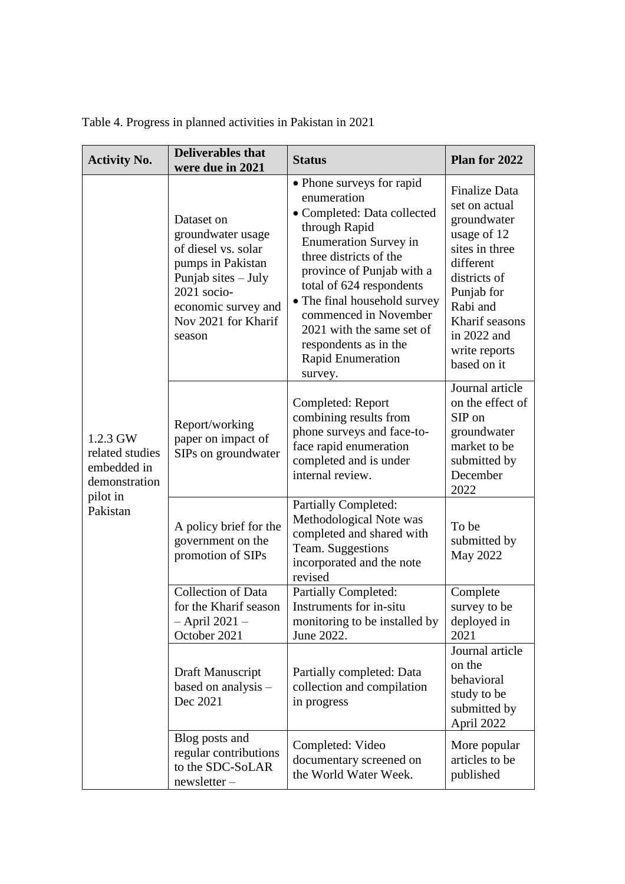| <b>Activity No.</b>                                                                 | <b>Deliverables</b> that<br>were due in 2021                                                                                                                              | <b>Status</b>                                                                                                                                                                                                                                                                                                                                                     | Plan for 2022                                                                                                                                                                                                 |  |  |
|-------------------------------------------------------------------------------------|---------------------------------------------------------------------------------------------------------------------------------------------------------------------------|-------------------------------------------------------------------------------------------------------------------------------------------------------------------------------------------------------------------------------------------------------------------------------------------------------------------------------------------------------------------|---------------------------------------------------------------------------------------------------------------------------------------------------------------------------------------------------------------|--|--|
|                                                                                     | Dataset on<br>groundwater usage<br>of diesel vs. solar<br>pumps in Pakistan<br>Punjab sites – July<br>2021 socio-<br>economic survey and<br>Nov 2021 for Kharif<br>season | • Phone surveys for rapid<br>enumeration<br>• Completed: Data collected<br>through Rapid<br><b>Enumeration Survey in</b><br>three districts of the<br>province of Punjab with a<br>total of 624 respondents<br>• The final household survey<br>commenced in November<br>2021 with the same set of<br>respondents as in the<br><b>Rapid Enumeration</b><br>survey. | <b>Finalize Data</b><br>set on actual<br>groundwater<br>usage of 12<br>sites in three<br>different<br>districts of<br>Punjab for<br>Rabi and<br>Kharif seasons<br>in 2022 and<br>write reports<br>based on it |  |  |
| 1.2.3 GW<br>related studies<br>embedded in<br>demonstration<br>pilot in<br>Pakistan | Report/working<br>paper on impact of<br>SIPs on groundwater                                                                                                               | Completed: Report<br>combining results from<br>phone surveys and face-to-<br>face rapid enumeration<br>completed and is under<br>internal review.                                                                                                                                                                                                                 | Journal article<br>on the effect of<br>SIP on<br>groundwater<br>market to be<br>submitted by<br>December<br>2022                                                                                              |  |  |
|                                                                                     | A policy brief for the<br>government on the<br>promotion of SIPs                                                                                                          | <b>Partially Completed:</b><br>Methodological Note was<br>completed and shared with<br>Team. Suggestions<br>incorporated and the note<br>revised                                                                                                                                                                                                                  | To be<br>submitted by<br>May 2022                                                                                                                                                                             |  |  |
|                                                                                     | <b>Collection of Data</b><br>for the Kharif season<br>- April 2021 -<br>October 2021                                                                                      | <b>Partially Completed:</b><br>Instruments for in-situ<br>monitoring to be installed by<br>June 2022.                                                                                                                                                                                                                                                             | Complete<br>survey to be<br>deployed in<br>2021                                                                                                                                                               |  |  |
|                                                                                     | Draft Manuscript<br>based on analysis -<br>Dec 2021                                                                                                                       | Partially completed: Data<br>collection and compilation<br>in progress                                                                                                                                                                                                                                                                                            | Journal article<br>on the<br>behavioral<br>study to be<br>submitted by<br>April 2022                                                                                                                          |  |  |
|                                                                                     | Blog posts and<br>regular contributions<br>to the SDC-SoLAR<br>newsletter-                                                                                                | Completed: Video<br>documentary screened on<br>the World Water Week.                                                                                                                                                                                                                                                                                              | More popular<br>articles to be<br>published                                                                                                                                                                   |  |  |

|  | Table 4. Progress in planned activities in Pakistan in 2021 |  |  |  |  |  |  |  |
|--|-------------------------------------------------------------|--|--|--|--|--|--|--|
|--|-------------------------------------------------------------|--|--|--|--|--|--|--|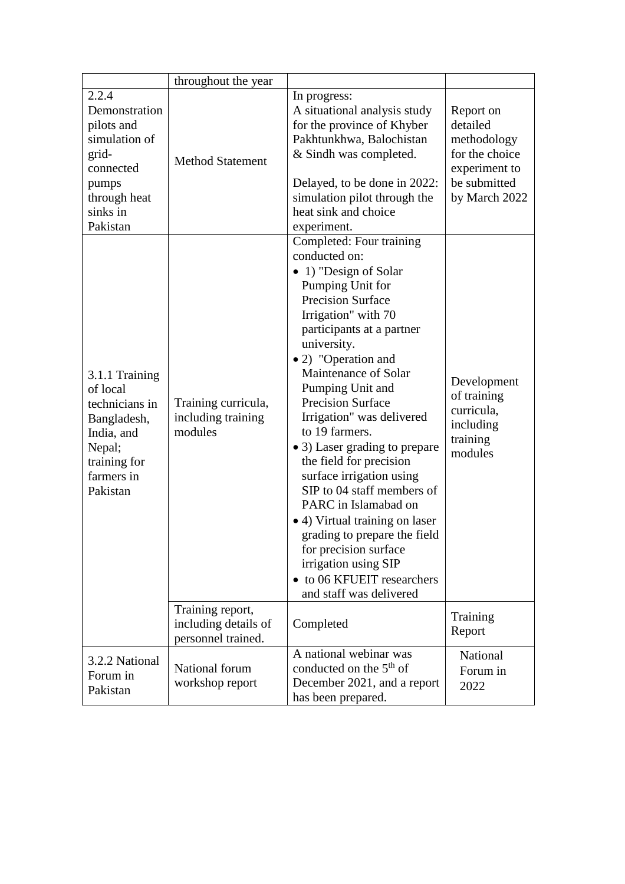|                                                                                                                               | throughout the year                                            |                                                                                                                                                                                                                                                                                                                                                                                                                                                                                                                                                                                                                                                               |                                                                                                          |
|-------------------------------------------------------------------------------------------------------------------------------|----------------------------------------------------------------|---------------------------------------------------------------------------------------------------------------------------------------------------------------------------------------------------------------------------------------------------------------------------------------------------------------------------------------------------------------------------------------------------------------------------------------------------------------------------------------------------------------------------------------------------------------------------------------------------------------------------------------------------------------|----------------------------------------------------------------------------------------------------------|
| 2.2.4<br>Demonstration<br>pilots and<br>simulation of<br>grid-<br>connected<br>pumps<br>through heat<br>sinks in<br>Pakistan  | <b>Method Statement</b>                                        | In progress:<br>A situational analysis study<br>for the province of Khyber<br>Pakhtunkhwa, Balochistan<br>& Sindh was completed.<br>Delayed, to be done in 2022:<br>simulation pilot through the<br>heat sink and choice<br>experiment.                                                                                                                                                                                                                                                                                                                                                                                                                       | Report on<br>detailed<br>methodology<br>for the choice<br>experiment to<br>be submitted<br>by March 2022 |
| 3.1.1 Training<br>of local<br>technicians in<br>Bangladesh,<br>India, and<br>Nepal;<br>training for<br>farmers in<br>Pakistan | Training curricula,<br>including training<br>modules           | Completed: Four training<br>conducted on:<br>• 1) "Design of Solar<br>Pumping Unit for<br><b>Precision Surface</b><br>Irrigation" with 70<br>participants at a partner<br>university.<br>• 2) "Operation and<br>Maintenance of Solar<br>Pumping Unit and<br><b>Precision Surface</b><br>Irrigation" was delivered<br>to 19 farmers.<br>• 3) Laser grading to prepare<br>the field for precision<br>surface irrigation using<br>SIP to 04 staff members of<br>PARC in Islamabad on<br>• 4) Virtual training on laser<br>grading to prepare the field<br>for precision surface<br>irrigation using SIP<br>• to 06 KFUEIT researchers<br>and staff was delivered | Development<br>of training<br>curricula,<br>including<br>training<br>modules                             |
|                                                                                                                               | Training report,<br>including details of<br>personnel trained. | Completed                                                                                                                                                                                                                                                                                                                                                                                                                                                                                                                                                                                                                                                     | Training<br>Report                                                                                       |
| 3.2.2 National<br>Forum in<br>Pakistan                                                                                        | National forum<br>workshop report                              | A national webinar was<br>conducted on the $5th$ of<br>December 2021, and a report<br>has been prepared.                                                                                                                                                                                                                                                                                                                                                                                                                                                                                                                                                      | National<br>Forum in<br>2022                                                                             |